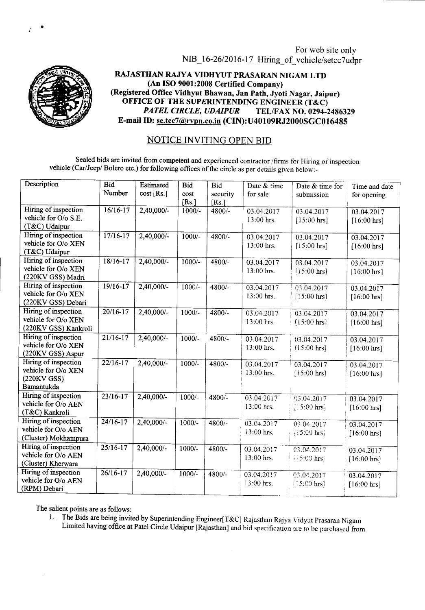For web site only NIB\_16-26/2016-17\_ Hiring\_ of\_ vehicle/setcc7udpr



 $\bar{r}$  •

RAJASTHAN RAJYA VIDHYUT PRASARAN NIGAM LTD (An ISO 9001:2008 Certified Company) (Registered Office Vidhyut Bhawan, Jan Path, Jyoti Nagar, Jaipur) OFFICE OF THE SUPERINTENDING ENGINEER (T&C)<br>PATEL CIRCLE, UDAIPUR TEL/FAX NO. 0294-2 *PATEL CIRCLE, UDAIPUR* TEL/FAX NO. 0294-2486329 E-mail ID: se.tcc7@rvpn.co.in (CIN):U40109RJ2000SGC016485

## NOTICE INVITING OPEN BID

Sealed bids are invited from competent and experienced contractor /firms for Hiring of inspection vehicle (Car/Jeep/ Bolero etc.) for following offices of the circle as per details given below:-

| Description                                                              | <b>Bid</b><br>Number | Estimated<br>$cost$ [Rs.] | <b>Bid</b><br>cost<br>[Rs.] | <b>Bid</b><br>security<br>[Rs.] | Date & time<br>for sale  | Date & time for<br>submission         | Time and date<br>for opening        |
|--------------------------------------------------------------------------|----------------------|---------------------------|-----------------------------|---------------------------------|--------------------------|---------------------------------------|-------------------------------------|
| Hiring of inspection<br>vehicle for O/o S.E.<br>(T&C) Udaipur            | $16/16 - 17$         | 2,40,000/-                | $1000/-$                    | 4800/-                          | 03.04.2017<br>13:00 hrs. | 03.04.2017<br>$[15:00 \text{ hrs}]$   | 03.04.2017<br>$[16:00 \text{ hrs}]$ |
| Hiring of inspection<br>vehicle for O/o XEN<br>(T&C) Udaipur             | $17/16-17$           | $2,40,000/-$              | $1000/-$                    | $4800/-$                        | 03.04.2017<br>13:00 hrs. | 03.04.2017<br>$[15:00 \text{ hrs}]$   | 03.04.2017<br>$[16:00 \text{ hrs}]$ |
| Hiring of inspection<br>vehicle for O/o XEN<br>(220KV GSS) Madri         | $18/16 - 17$         | $2,40,000/-$              | $1000/-$                    | 4800/-                          | 03.04.2017<br>13:00 hrs. | 03.04.2017<br>$[15:00 \text{ hrs}]$   | 03.04.2017<br>[16:00 hrs]           |
| Hiring of inspection<br>vehicle for O/o XEN<br>(220KV GSS) Debari        | $19/16-17$           | $2,40,000/-$              | $1000/-$                    | $4800/-$                        | 03.04.2017<br>13:00 hrs. | 03.04.2017<br>$[15:00 \text{ hrs}]$   | 03.04.2017<br>$[16:00 \text{ hrs}]$ |
| Hiring of inspection<br>vehicle for O/o XEN<br>(220KV GSS) Kankroli      | $20/16 - 17$         | $2,40,000/-$              | $1000/-$                    | 4800/-                          | 03.04.2017<br>13:00 hrs. | 03.04.2017<br>[15:00 hrs]             | 03.04.2017<br>[16:00 hrs]           |
| Hiring of inspection<br>vehicle for O/o XEN<br>(220KV GSS) Aspur         | $21/16-17$           | $2,40,000/-$              | $1000/-$                    | 4800/-                          | 03.04.2017<br>13:00 hrs. | 03.04.2017<br>$15:00$ hrs             | 03.04.2017<br>$[16:00 \text{ hrs}]$ |
| Hiring of inspection<br>vehicle for O/o XEN<br>(220KV GSS)<br>Bamantukda | $22/16-17$           | $2,40,000/$ -             | $1000/-$                    | $4800/-$                        | 03.04.2017<br>13:00 hrs. | 03.04.2017<br>[15:00 hrs]             | 03.04.2017<br>[16:00 hrs]           |
| Hiring of inspection<br>vehicle for O/o AEN<br>(T&C) Kankroli            | $23/16 - 17$         | $2,40,000/$ -             | $1000/-$                    | $4800/-$                        | 03.04.2017<br>13:00 hrs. | 03.04.2017<br>$\sim$ 5:00 hrs         | 03.04.2017<br>$[16:00 \text{ hrs}]$ |
| Hiring of inspection<br>vehicle for O/o AEN<br>(Cluster) Mokhampura      | $24/16-17$           | $2,40,000/-$              | $1000/-$                    | 4800/-                          | 03.04.2017<br>13:00 hrs. | 03.04.2017<br>$\{15:00 \text{ hrs}\}$ | 03.04.2017<br>$[16:00 \text{ hrs}]$ |
| Hiring of inspection<br>vehicle for O/o AEN<br>(Cluster) Kherwara        | $25/16 - 17$         | $2,40,000/-$              | $1000/-$                    | $4800/-$                        | 03.04.2017<br>13:00 hrs. | 03.04.2017<br>$15:00$ hrs?            | 03.04.2017<br>$[16:00 \text{ hrs}]$ |
| Hiring of inspection<br>vehicle for O/o AEN<br>(RPM) Debari              | $26/16-17$           | $2,40,000/-$              | $1000/-$                    | $4800/-$                        | 03.04.2017<br>13:00 hrs. | 03.04.2017<br>$[5:00$ hrsl            | 03.04.2017<br>[16:00 hrs]           |

The salient points are as follows:

1. The Bids are being invited by Superintending Engineer[T&C] Rajasthan Rajya Vidyut Prasaran Nigam Limited having office at Patel Circle Udaipur [Rajasthan] and bid specification are to be purchased from